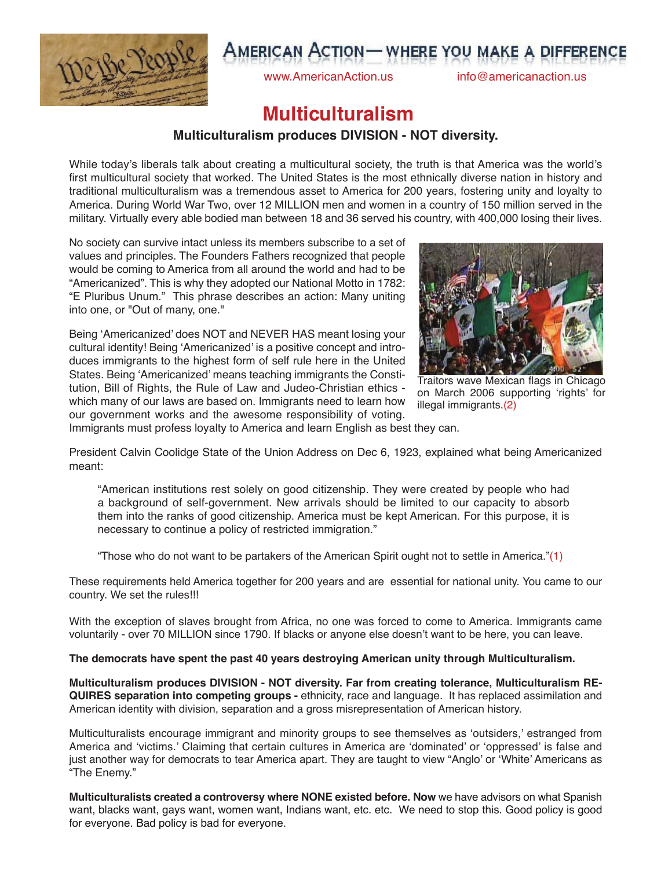

# **AMERICAN ACTION - WHERE YOU MAKE A DIFFERENCE**

www.AmericanAction.us info@americanaction.us

## **Multiculturalism**

### **Multiculturalism produces DIVISION - NOT diversity.**

While today's liberals talk about creating a multicultural society, the truth is that America was the world's first multicultural society that worked. The United States is the most ethnically diverse nation in history and traditional multiculturalism was a tremendous asset to America for 200 years, fostering unity and loyalty to America. During World War Two, over 12 MILLION men and women in a country of 150 million served in the military. Virtually every able bodied man between 18 and 36 served his country, with 400,000 losing their lives.

No society can survive intact unless its members subscribe to a set of values and principles. The Founders Fathers recognized that people would be coming to America from all around the world and had to be "Americanized". This is why they adopted our National Motto in 1782: "E Pluribus Unum." This phrase describes an action: Many uniting into one, or "Out of many, one."

Being 'Americanized' does NOT and NEVER HAS meant losing your cultural identity! Being 'Americanized' is a positive concept and introduces immigrants to the highest form of self rule here in the United States. Being 'Americanized' means teaching immigrants the Constitution, Bill of Rights, the Rule of Law and Judeo-Christian ethics which many of our laws are based on. Immigrants need to learn how our government works and the awesome responsibility of voting.



Traitors wave Mexican flags in Chicago on March 2006 supporting 'rights' for illegal immigrants.(2)

Immigrants must profess loyalty to America and learn English as best they can.

President Calvin Coolidge State of the Union Address on Dec 6, 1923, explained what being Americanized meant:

"American institutions rest solely on good citizenship. They were created by people who had a background of self-government. New arrivals should be limited to our capacity to absorb them into the ranks of good citizenship. America must be kept American. For this purpose, it is necessary to continue a policy of restricted immigration."

"Those who do not want to be partakers of the American Spirit ought not to settle in America."(1)

These requirements held America together for 200 years and are essential for national unity. You came to our country. We set the rules!!!

With the exception of slaves brought from Africa, no one was forced to come to America. Immigrants came voluntarily - over 70 MILLION since 1790. If blacks or anyone else doesn't want to be here, you can leave.

#### **The democrats have spent the past 40 years destroying American unity through Multiculturalism.**

**Multiculturalism produces DIVISION - NOT diversity. Far from creating tolerance, Multiculturalism RE-QUIRES separation into competing groups -** ethnicity, race and language. It has replaced assimilation and American identity with division, separation and a gross misrepresentation of American history.

Multiculturalists encourage immigrant and minority groups to see themselves as 'outsiders,' estranged from America and 'victims.' Claiming that certain cultures in America are 'dominated' or 'oppressed' is false and just another way for democrats to tear America apart. They are taught to view "Anglo' or 'White' Americans as "The Enemy."

**Multiculturalists created a controversy where NONE existed before. Now** we have advisors on what Spanish want, blacks want, gays want, women want, Indians want, etc. etc. We need to stop this. Good policy is good for everyone. Bad policy is bad for everyone.